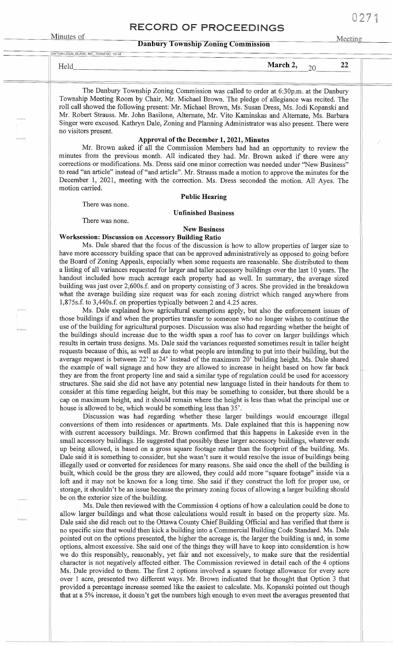# RECORD OF PROC

#### **Danbury Township Zoning Commission**

Meeting

0271

| DAT FOR LEGAL BLANK, INC., PORM NO. 10148 |                                                 |     |  |
|-------------------------------------------|-------------------------------------------------|-----|--|
| エエヘエク                                     | March 2,<br>$\sim$ $\sim$<br><b>ARRANGEMENT</b> | -44 |  |

The Danbury Township Zoning Commission was called to order at 6:30p.m. at the Danbury Township Meeting Room by Chair, Mr. Michael Brown. The pledge of allegiance was recited. The roll call showed the following present: Mr. Michael Brown, Ms. Susan Dress, Ms. Jodi Kopanski and Mr. Robert Strauss. Mr. John Basilone, Alternate, Mr. Vito Kaminskas and Alternate, Ms. Barbara Singer were excused. Kathryn Dale, Zoning and Planning Administrator was also present. There were no visitors present.

#### Approval of the December 1, 2021, Minutes

Mr. Brown asked if all the Commission Members had had an opportunity to review the minutes from the previous month. All indicated they had. Mr. Brown asked if there were any corrections or modifications. Ms. Dress said one minor correction was needed under ''New Business" to read "an article" instead of "and article". Mr. Strauss made a motion to approve the minutes for the December 1, 2021, meeting with the correction. Ms. Dress seconded the motion. All Ayes. The motion carried.

There was none.

# **Public Hearing Unfinished Business**

There was none.

## **New Business**

## **Worksession: Discussion on Accessory Building Ratio**

Ms. Dale shared that the focus of the discussion is how to allow properties of larger size to have more accessory building space that can be approved administratively as opposed to going before the Board of Zoning Appeals, especially when some requests are reasonable. She distributed to them a listing of all variances requested for larger and taller accessory buildings over the last 10 years. The handout included how much acreage each property had as well. In summary, the average sized building was just over 2,600s.f. and on property consisting of 3 acres. She provided in the breakdown what the average building size request was for each zoning district which ranged anywhere from 1,875s.f. to 3,440s.f. on properties typically between 2 and 4.25 acres.

Ms. Dale explained how agricultural exemptions apply, but also the enforcement issues of those buildings if and when the properties transfer to someone who no longer wishes to continue the use of the building for agricultural purposes. Discussion was also had regarding whether the height of the buildings should increase due to the width span a roof has to cover on larger buildings which results **in** certain truss designs. Ms. Dale said the variances requested sometimes result in taller height requests because of this, as well as due to what people are intending to put into their building, but the average request is between 22' to 24' instead of the maximum 20' building height. Ms. Dale shared the example of wall signage and how they are allowed to increase in height based on how far back they are from the front property line and said a similar type of regulation could be used for accessory structures. She said she did not have any potential new language listed in their handouts for them to consider at this time regarding height, but this may be something to consider, but there should be a cap on maximum height, and it should remain where the height is less than what the principal use or house is allowed to be, which would be something less than 35'.

Discussion was had regarding whether these larger buildings would encourage illegal conversions of them into residences or apartments. Ms. Dale explained that this is happening now with current accessory buildings. Mr. Brown confirmed that this happens in Lakeside even in the small accessory buildings. He suggested that possibly these larger accessory buildings, whatever ends up being allowed, is based on a gross square footage rather than the footprint of the building. Ms. Dale said it is something to consider, but she wasn't sure it would resolve the issue of buildings being illegally used or converted for residences for many reasons. She said once the shell of the building is built, which could be the gross they are allowed, they could add more "square footage" inside via a loft and it may not be known for a long time. She said if they construct the loft for proper use, or storage, it shouldn't be an issue because the primary zoning focus of allowing a larger building should be on the exterior size of the building.

Ms. Dale then reviewed with the Commission 4 options of how a calculation could be done to allow larger buildings and what those calculations would result in based on the property size. Ms. Dale said she did reach out to the Ottawa County Chief Building Official and has verified that there is no specific size that would then kick a building into a Commercial Building Code Standard. Ms. Dale pointed out on the options presented, the higher the acreage is, the larger the building is and, in some options, almost excessive. She said one of the things they will have to keep into consideration is how we do this responsibly, reasonably, yet fair and not excessively, to make sure that the residential character is not negatively affected either. The Commission reviewed in detail each of the 4 options Ms. Dale provided to them. The first 2 options involved a square footage allowance for every acre over 1 acre, presented two different ways. Mr. Brown indicated that he thought that Option 3 that provided a percentage increase seemed like the easiest to calculate. Ms. Kopanski pointed out though that at a 5% increase, it doesn't get the numbers high enough to even meet the averages presented that